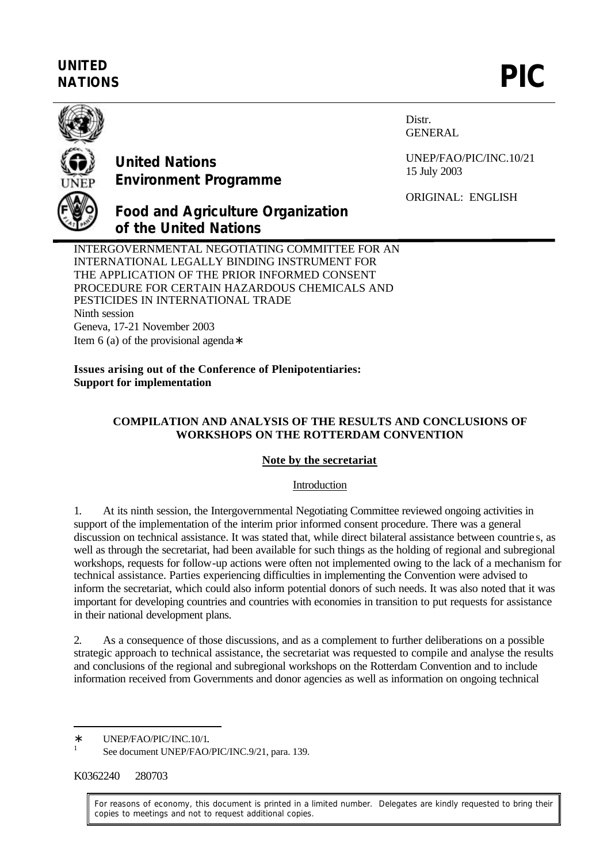## **UNITED** UNITED<br>NATIONS **PIC**



## **United Nations Environment Programme**

Distr. GENERAL

UNEP/FAO/PIC/INC.10/21 15 July 2003

ORIGINAL: ENGLISH

# **Food and Agriculture Organization of the United Nations**

INTERGOVERNMENTAL NEGOTIATING COMMITTEE FOR AN INTERNATIONAL LEGALLY BINDING INSTRUMENT FOR THE APPLICATION OF THE PRIOR INFORMED CONSENT PROCEDURE FOR CERTAIN HAZARDOUS CHEMICALS AND PESTICIDES IN INTERNATIONAL TRADE Ninth session Geneva, 17-21 November 2003 Item 6 (a) of the provisional agenda∗

**Issues arising out of the Conference of Plenipotentiaries: Support for implementation**

## **COMPILATION AND ANALYSIS OF THE RESULTS AND CONCLUSIONS OF WORKSHOPS ON THE ROTTERDAM CONVENTION**

### **Note by the secretariat**

#### Introduction

1. At its ninth session, the Intergovernmental Negotiating Committee reviewed ongoing activities in support of the implementation of the interim prior informed consent procedure. There was a general discussion on technical assistance. It was stated that, while direct bilateral assistance between countrie s, as well as through the secretariat, had been available for such things as the holding of regional and subregional workshops, requests for follow-up actions were often not implemented owing to the lack of a mechanism for technical assistance. Parties experiencing difficulties in implementing the Convention were advised to inform the secretariat, which could also inform potential donors of such needs. It was also noted that it was important for developing countries and countries with economies in transition to put requests for assistance in their national development plans.

2. As a consequence of those discussions, and as a complement to further deliberations on a possible strategic approach to technical assistance, the secretariat was requested to compile and analyse the results and conclusions of the regional and subregional workshops on the Rotterdam Convention and to include information received from Governments and donor agencies as well as information on ongoing technical

K0362240 280703

l

1

For reasons of economy, this document is printed in a limited number. Delegates are kindly requested to bring their copies to meetings and not to request additional copies.

<sup>∗</sup> UNEP/FAO/PIC/INC.10/1.

See document UNEP/FAO/PIC/INC.9/21, para. 139.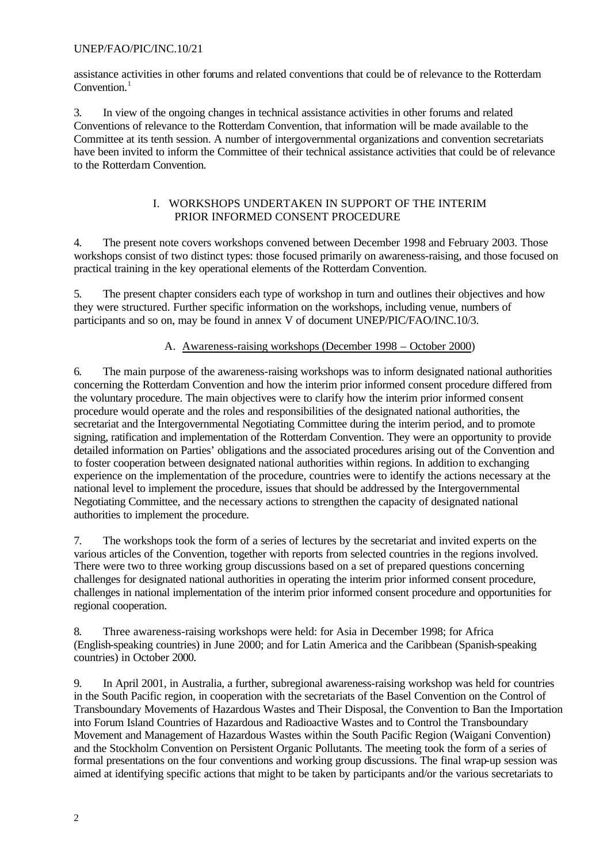assistance activities in other forums and related conventions that could be of relevance to the Rotterdam Convention. $<sup>1</sup>$ </sup>

3. In view of the ongoing changes in technical assistance activities in other forums and related Conventions of relevance to the Rotterdam Convention, that information will be made available to the Committee at its tenth session. A number of intergovernmental organizations and convention secretariats have been invited to inform the Committee of their technical assistance activities that could be of relevance to the Rotterdam Convention.

#### I. WORKSHOPS UNDERTAKEN IN SUPPORT OF THE INTERIM PRIOR INFORMED CONSENT PROCEDURE

4. The present note covers workshops convened between December 1998 and February 2003. Those workshops consist of two distinct types: those focused primarily on awareness-raising, and those focused on practical training in the key operational elements of the Rotterdam Convention.

5. The present chapter considers each type of workshop in turn and outlines their objectives and how they were structured. Further specific information on the workshops, including venue, numbers of participants and so on, may be found in annex V of document UNEP/PIC/FAO/INC.10/3.

### A. Awareness-raising workshops (December 1998 – October 2000)

6. The main purpose of the awareness-raising workshops was to inform designated national authorities concerning the Rotterdam Convention and how the interim prior informed consent procedure differed from the voluntary procedure. The main objectives were to clarify how the interim prior informed consent procedure would operate and the roles and responsibilities of the designated national authorities, the secretariat and the Intergovernmental Negotiating Committee during the interim period, and to promote signing, ratification and implementation of the Rotterdam Convention. They were an opportunity to provide detailed information on Parties' obligations and the associated procedures arising out of the Convention and to foster cooperation between designated national authorities within regions. In addition to exchanging experience on the implementation of the procedure, countries were to identify the actions necessary at the national level to implement the procedure, issues that should be addressed by the Intergovernmental Negotiating Committee, and the necessary actions to strengthen the capacity of designated national authorities to implement the procedure.

7. The workshops took the form of a series of lectures by the secretariat and invited experts on the various articles of the Convention, together with reports from selected countries in the regions involved. There were two to three working group discussions based on a set of prepared questions concerning challenges for designated national authorities in operating the interim prior informed consent procedure, challenges in national implementation of the interim prior informed consent procedure and opportunities for regional cooperation.

8. Three awareness-raising workshops were held: for Asia in December 1998; for Africa (English-speaking countries) in June 2000; and for Latin America and the Caribbean (Spanish-speaking countries) in October 2000.

9. In April 2001, in Australia, a further, subregional awareness-raising workshop was held for countries in the South Pacific region, in cooperation with the secretariats of the Basel Convention on the Control of Transboundary Movements of Hazardous Wastes and Their Disposal, the Convention to Ban the Importation into Forum Island Countries of Hazardous and Radioactive Wastes and to Control the Transboundary Movement and Management of Hazardous Wastes within the South Pacific Region (Waigani Convention) and the Stockholm Convention on Persistent Organic Pollutants. The meeting took the form of a series of formal presentations on the four conventions and working group discussions. The final wrap-up session was aimed at identifying specific actions that might to be taken by participants and/or the various secretariats to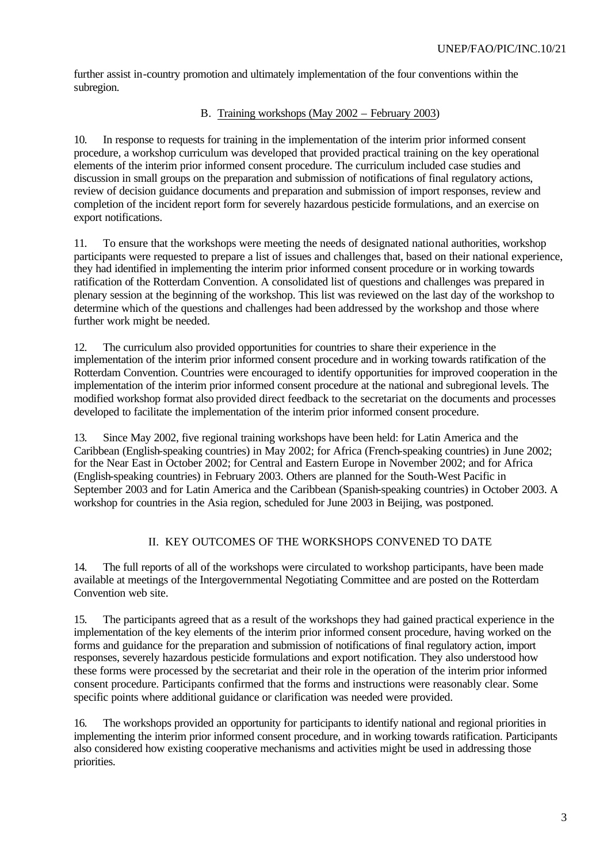further assist in-country promotion and ultimately implementation of the four conventions within the subregion.

## B. Training workshops (May 2002 – February 2003)

10. In response to requests for training in the implementation of the interim prior informed consent procedure, a workshop curriculum was developed that provided practical training on the key operational elements of the interim prior informed consent procedure. The curriculum included case studies and discussion in small groups on the preparation and submission of notifications of final regulatory actions, review of decision guidance documents and preparation and submission of import responses, review and completion of the incident report form for severely hazardous pesticide formulations, and an exercise on export notifications.

11. To ensure that the workshops were meeting the needs of designated national authorities, workshop participants were requested to prepare a list of issues and challenges that, based on their national experience, they had identified in implementing the interim prior informed consent procedure or in working towards ratification of the Rotterdam Convention. A consolidated list of questions and challenges was prepared in plenary session at the beginning of the workshop. This list was reviewed on the last day of the workshop to determine which of the questions and challenges had been addressed by the workshop and those where further work might be needed.

12. The curriculum also provided opportunities for countries to share their experience in the implementation of the interim prior informed consent procedure and in working towards ratification of the Rotterdam Convention. Countries were encouraged to identify opportunities for improved cooperation in the implementation of the interim prior informed consent procedure at the national and subregional levels. The modified workshop format also provided direct feedback to the secretariat on the documents and processes developed to facilitate the implementation of the interim prior informed consent procedure.

13. Since May 2002, five regional training workshops have been held: for Latin America and the Caribbean (English-speaking countries) in May 2002; for Africa (French-speaking countries) in June 2002; for the Near East in October 2002; for Central and Eastern Europe in November 2002; and for Africa (English-speaking countries) in February 2003. Others are planned for the South-West Pacific in September 2003 and for Latin America and the Caribbean (Spanish-speaking countries) in October 2003. A workshop for countries in the Asia region, scheduled for June 2003 in Beijing, was postponed.

## II. KEY OUTCOMES OF THE WORKSHOPS CONVENED TO DATE

14. The full reports of all of the workshops were circulated to workshop participants, have been made available at meetings of the Intergovernmental Negotiating Committee and are posted on the Rotterdam Convention web site.

15. The participants agreed that as a result of the workshops they had gained practical experience in the implementation of the key elements of the interim prior informed consent procedure, having worked on the forms and guidance for the preparation and submission of notifications of final regulatory action, import responses, severely hazardous pesticide formulations and export notification. They also understood how these forms were processed by the secretariat and their role in the operation of the interim prior informed consent procedure. Participants confirmed that the forms and instructions were reasonably clear. Some specific points where additional guidance or clarification was needed were provided.

16. The workshops provided an opportunity for participants to identify national and regional priorities in implementing the interim prior informed consent procedure, and in working towards ratification. Participants also considered how existing cooperative mechanisms and activities might be used in addressing those priorities.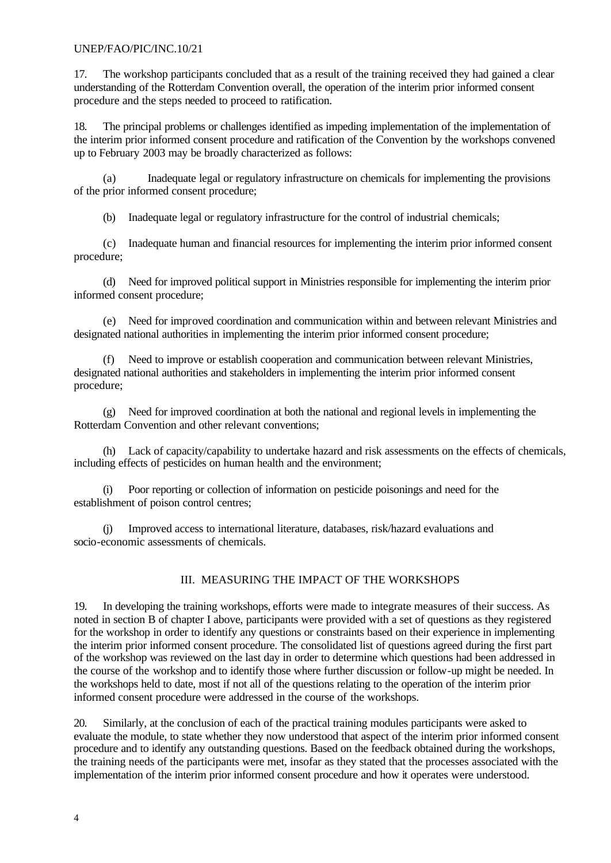17. The workshop participants concluded that as a result of the training received they had gained a clear understanding of the Rotterdam Convention overall, the operation of the interim prior informed consent procedure and the steps needed to proceed to ratification.

18. The principal problems or challenges identified as impeding implementation of the implementation of the interim prior informed consent procedure and ratification of the Convention by the workshops convened up to February 2003 may be broadly characterized as follows:

(a) Inadequate legal or regulatory infrastructure on chemicals for implementing the provisions of the prior informed consent procedure;

(b) Inadequate legal or regulatory infrastructure for the control of industrial chemicals;

(c) Inadequate human and financial resources for implementing the interim prior informed consent procedure;

(d) Need for improved political support in Ministries responsible for implementing the interim prior informed consent procedure;

(e) Need for improved coordination and communication within and between relevant Ministries and designated national authorities in implementing the interim prior informed consent procedure;

Need to improve or establish cooperation and communication between relevant Ministries, designated national authorities and stakeholders in implementing the interim prior informed consent procedure;

(g) Need for improved coordination at both the national and regional levels in implementing the Rotterdam Convention and other relevant conventions;

(h) Lack of capacity/capability to undertake hazard and risk assessments on the effects of chemicals, including effects of pesticides on human health and the environment;

(i) Poor reporting or collection of information on pesticide poisonings and need for the establishment of poison control centres;

(j) Improved access to international literature, databases, risk/hazard evaluations and socio-economic assessments of chemicals.

### III. MEASURING THE IMPACT OF THE WORKSHOPS

19. In developing the training workshops, efforts were made to integrate measures of their success. As noted in section B of chapter I above, participants were provided with a set of questions as they registered for the workshop in order to identify any questions or constraints based on their experience in implementing the interim prior informed consent procedure. The consolidated list of questions agreed during the first part of the workshop was reviewed on the last day in order to determine which questions had been addressed in the course of the workshop and to identify those where further discussion or follow-up might be needed. In the workshops held to date, most if not all of the questions relating to the operation of the interim prior informed consent procedure were addressed in the course of the workshops.

20. Similarly, at the conclusion of each of the practical training modules participants were asked to evaluate the module, to state whether they now understood that aspect of the interim prior informed consent procedure and to identify any outstanding questions. Based on the feedback obtained during the workshops, the training needs of the participants were met, insofar as they stated that the processes associated with the implementation of the interim prior informed consent procedure and how it operates were understood.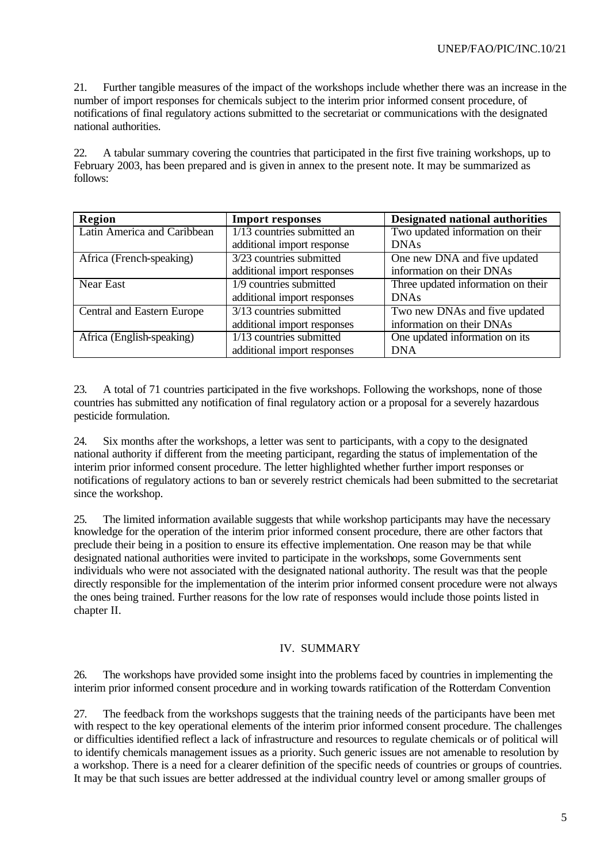21. Further tangible measures of the impact of the workshops include whether there was an increase in the number of import responses for chemicals subject to the interim prior informed consent procedure, of notifications of final regulatory actions submitted to the secretariat or communications with the designated national authorities.

22. A tabular summary covering the countries that participated in the first five training workshops, up to February 2003, has been prepared and is given in annex to the present note. It may be summarized as follows:

| Region                      | <b>Import responses</b>                                              | Designated national authorities                            |
|-----------------------------|----------------------------------------------------------------------|------------------------------------------------------------|
| Latin America and Caribbean | 1/13 countries submitted an<br>additional import response            | Two updated information on their<br><b>DNAs</b>            |
| Africa (French-speaking)    | 3/23 countries submitted<br>additional import responses              | One new DNA and five updated<br>information on their DNAs  |
| <b>Near East</b>            | 1/9 countries submitted<br>additional import responses               | Three updated information on their<br><b>DNAs</b>          |
| Central and Eastern Europe  | $3/13$ countries submitted<br>additional import responses            | Two new DNAs and five updated<br>information on their DNAs |
| Africa (English-speaking)   | $\overline{1/13}$ countries submitted<br>additional import responses | One updated information on its<br><b>DNA</b>               |

23. A total of 71 countries participated in the five workshops. Following the workshops, none of those countries has submitted any notification of final regulatory action or a proposal for a severely hazardous pesticide formulation.

24. Six months after the workshops, a letter was sent to participants, with a copy to the designated national authority if different from the meeting participant, regarding the status of implementation of the interim prior informed consent procedure. The letter highlighted whether further import responses or notifications of regulatory actions to ban or severely restrict chemicals had been submitted to the secretariat since the workshop.

25. The limited information available suggests that while workshop participants may have the necessary knowledge for the operation of the interim prior informed consent procedure, there are other factors that preclude their being in a position to ensure its effective implementation. One reason may be that while designated national authorities were invited to participate in the workshops, some Governments sent individuals who were not associated with the designated national authority. The result was that the people directly responsible for the implementation of the interim prior informed consent procedure were not always the ones being trained. Further reasons for the low rate of responses would include those points listed in chapter II.

#### IV. SUMMARY

26. The workshops have provided some insight into the problems faced by countries in implementing the interim prior informed consent procedure and in working towards ratification of the Rotterdam Convention

27. The feedback from the workshops suggests that the training needs of the participants have been met with respect to the key operational elements of the interim prior informed consent procedure. The challenges or difficulties identified reflect a lack of infrastructure and resources to regulate chemicals or of political will to identify chemicals management issues as a priority. Such generic issues are not amenable to resolution by a workshop. There is a need for a clearer definition of the specific needs of countries or groups of countries. It may be that such issues are better addressed at the individual country level or among smaller groups of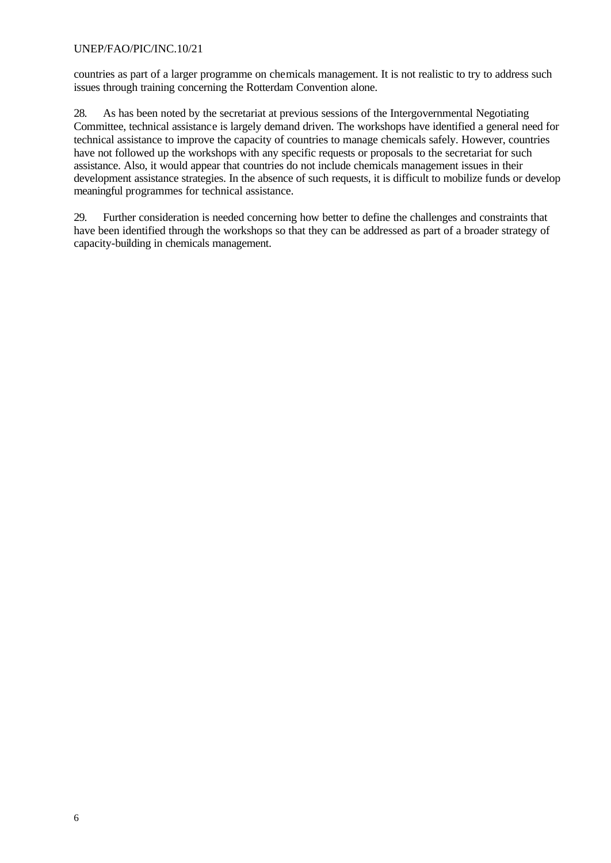countries as part of a larger programme on chemicals management. It is not realistic to try to address such issues through training concerning the Rotterdam Convention alone.

28. As has been noted by the secretariat at previous sessions of the Intergovernmental Negotiating Committee, technical assistance is largely demand driven. The workshops have identified a general need for technical assistance to improve the capacity of countries to manage chemicals safely. However, countries have not followed up the workshops with any specific requests or proposals to the secretariat for such assistance. Also, it would appear that countries do not include chemicals management issues in their development assistance strategies. In the absence of such requests, it is difficult to mobilize funds or develop meaningful programmes for technical assistance.

29. Further consideration is needed concerning how better to define the challenges and constraints that have been identified through the workshops so that they can be addressed as part of a broader strategy of capacity-building in chemicals management.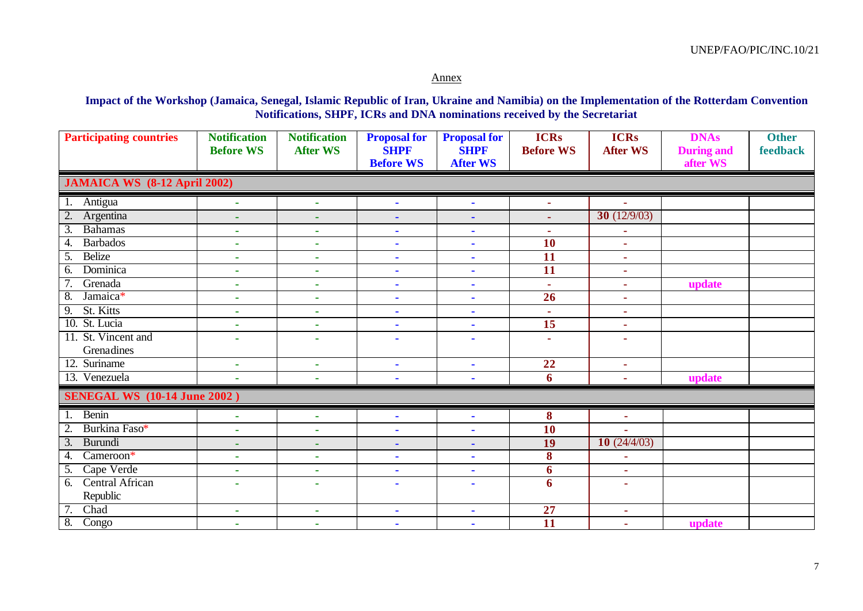#### Annex

**Impact of the Workshop (Jamaica, Senegal, Islamic Republic of Iran, Ukraine and Namibia) on the Implementation of the Rotterdam Convention Notifications, SHPF, ICRs and DNA nominations received by the Secretariat**

| <b>Participating countries</b>      | <b>Notification</b><br><b>Before WS</b> | <b>Notification</b><br><b>After WS</b> | <b>Proposal for</b><br><b>SHPF</b><br><b>Before WS</b> | <b>Proposal for</b><br><b>SHPF</b><br><b>After WS</b> | <b>ICRs</b><br><b>Before WS</b> | <b>ICRs</b><br><b>After WS</b> | <b>DNAs</b><br><b>During and</b><br>after WS | <b>Other</b><br>feedback |  |  |
|-------------------------------------|-----------------------------------------|----------------------------------------|--------------------------------------------------------|-------------------------------------------------------|---------------------------------|--------------------------------|----------------------------------------------|--------------------------|--|--|
| <b>JAMAICA WS</b> (8-12 April 2002) |                                         |                                        |                                                        |                                                       |                                 |                                |                                              |                          |  |  |
| Antigua<br>1.                       | $\sim$                                  | ٠                                      | ٠                                                      | $\blacksquare$                                        | ÷                               |                                |                                              |                          |  |  |
| 2.<br>Argentina                     | ä,                                      | ٠                                      | ٠                                                      | $\blacksquare$                                        | $\sim$                          | 30 $(12/9/03)$                 |                                              |                          |  |  |
| $\overline{3}$ .<br><b>Bahamas</b>  | ٠                                       | ٠                                      | $\blacksquare$                                         | $\blacksquare$                                        | $\sim$                          | $\blacksquare$                 |                                              |                          |  |  |
| <b>Barbados</b><br>4.               | $\mathbf{r}$                            | ÷,                                     | $\blacksquare$                                         | $\blacksquare$                                        | <b>10</b>                       | $\mathbf{r}$                   |                                              |                          |  |  |
| <b>Belize</b><br>5.                 | ٠                                       | $\blacksquare$                         | $\blacksquare$                                         | $\blacksquare$                                        | 11                              | $\blacksquare$                 |                                              |                          |  |  |
| Dominica<br>6.                      | ٠                                       | ٠                                      | $\blacksquare$                                         | $\blacksquare$                                        | $\overline{11}$                 | $\blacksquare$                 |                                              |                          |  |  |
| Grenada                             | ٠                                       | ٠                                      | $\blacksquare$                                         | $\blacksquare$                                        | $\mathbf{r}$                    | $\blacksquare$                 | update                                       |                          |  |  |
| $\overline{8}$ .<br>Jamaica*        | ٠                                       | ٠                                      | $\blacksquare$                                         | $\blacksquare$                                        | 26                              | ×.                             |                                              |                          |  |  |
| St. Kitts<br>$\overline{9}$ .       | ٠                                       | ٠                                      | $\blacksquare$                                         | $\blacksquare$                                        | $\sim$                          | $\blacksquare$                 |                                              |                          |  |  |
| 10. St. Lucia                       | ٠                                       | ٠                                      | $\blacksquare$                                         | $\blacksquare$                                        | $\overline{15}$                 | ×.                             |                                              |                          |  |  |
| 11. St. Vincent and                 |                                         | $\mathbf{r}$                           | ٠                                                      | ٠                                                     | ÷                               | ×.                             |                                              |                          |  |  |
| Grenadines                          |                                         |                                        |                                                        |                                                       |                                 |                                |                                              |                          |  |  |
| 12. Suriname                        | ٠                                       | ٠                                      | ٠                                                      | $\blacksquare$                                        | 22                              | ٠                              |                                              |                          |  |  |
| 13. Venezuela                       |                                         |                                        | ÷                                                      |                                                       | 6                               | ٠                              | update                                       |                          |  |  |
| <b>SENEGAL WS</b> (10-14 June 2002) |                                         |                                        |                                                        |                                                       |                                 |                                |                                              |                          |  |  |
| Benin<br>1.                         | $\mathbf{r}$                            | ÷,                                     | ÷.                                                     | ×.                                                    | 8                               | $\mathbf{r}$                   |                                              |                          |  |  |
| Burkina Faso*<br>2.                 | ä,                                      | $\mathbf{r}$                           | ä,                                                     | $\blacksquare$                                        | <b>10</b>                       | $\mathbf{r}$                   |                                              |                          |  |  |
| Burundi<br>$\overline{3}$ .         | ٠                                       | ٠                                      | ٠                                                      | $\blacksquare$                                        | 19                              | 10(24/4/03)                    |                                              |                          |  |  |
| Cameroon*<br>$\overline{4}$ .       | $\blacksquare$                          | ٠                                      | ä,                                                     | $\blacksquare$                                        | 8                               | $\mathbf{r}$                   |                                              |                          |  |  |
| Cape Verde<br>5.                    | $\mathbf{r}$                            | $\mathbf{r}$                           | $\blacksquare$                                         | $\blacksquare$                                        | 6                               | $\sim$                         |                                              |                          |  |  |
| <b>Central African</b><br>6.        | ۰                                       | $\overline{\phantom{a}}$               | $\blacksquare$                                         | ٠                                                     | 6                               | $\sim$                         |                                              |                          |  |  |
| Republic                            |                                         |                                        |                                                        |                                                       |                                 |                                |                                              |                          |  |  |
| Chad                                | $\blacksquare$                          | ٠                                      | ٠                                                      | $\blacksquare$                                        | 27                              | $\sim$                         |                                              |                          |  |  |
| 8.<br>Congo                         | $\blacksquare$                          | $\mathbf{r}$                           | $\blacksquare$                                         | $\blacksquare$                                        | $\overline{11}$                 | $\sim$                         | update                                       |                          |  |  |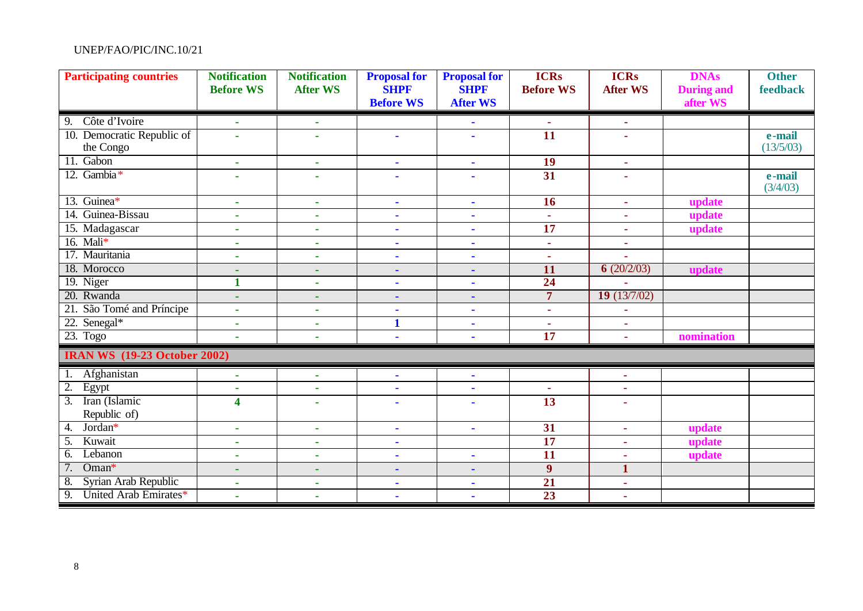| <b>Participating countries</b>            | <b>Notification</b><br><b>Before WS</b> | <b>Notification</b><br><b>After WS</b> | <b>Proposal for</b><br><b>SHPF</b><br><b>Before WS</b> | <b>Proposal for</b><br><b>SHPF</b><br><b>After WS</b> | <b>ICRs</b><br><b>Before WS</b> | <b>ICRs</b><br><b>After WS</b> | <b>DNAs</b><br><b>During and</b><br>after WS | <b>Other</b><br>feedback |
|-------------------------------------------|-----------------------------------------|----------------------------------------|--------------------------------------------------------|-------------------------------------------------------|---------------------------------|--------------------------------|----------------------------------------------|--------------------------|
|                                           |                                         |                                        |                                                        |                                                       |                                 |                                |                                              |                          |
| Côte d'Ivoire<br>9.                       | $\blacksquare$                          | $\sim$                                 |                                                        |                                                       | ×,                              | $\mathbf{r}$                   |                                              |                          |
| 10. Democratic Republic of                | $\blacksquare$                          | $\sim$                                 | $\blacksquare$                                         | $\blacksquare$                                        | $\overline{11}$                 | $\mathbf{r}$                   |                                              | e-mail                   |
| the Congo                                 |                                         |                                        |                                                        |                                                       |                                 |                                |                                              | (13/5/03)                |
| 11. Gabon                                 | ÷.                                      | $\sim$                                 | $\blacksquare$                                         | ٠                                                     | 19                              | $\mathbf{r}$                   |                                              |                          |
| 12. Gambia*                               | $\blacksquare$                          | $\overline{a}$                         | $\blacksquare$                                         |                                                       | 31                              | $\sim$                         |                                              | e-mail<br>(3/4/03)       |
| 13. Guinea*                               | $\sim$                                  | $\sim$                                 | $\sim$                                                 | ×.                                                    | 16                              | $\sim$                         | update                                       |                          |
| 14. Guinea-Bissau                         | $\blacksquare$                          | $\blacksquare$                         | $\blacksquare$                                         |                                                       | $\mathbf{r}$                    | ÷.                             | update                                       |                          |
| 15. Madagascar                            | ٠                                       | $\sim$                                 | $\blacksquare$                                         | $\blacksquare$                                        | $\overline{17}$                 | $\mathbf{r}$                   | update                                       |                          |
| 16. Mali $*$                              | $\sim$                                  | $\sim$                                 | ٠                                                      | ٠                                                     | $\blacksquare$                  | ٠                              |                                              |                          |
| 17. Mauritania                            | $\blacksquare$                          | $\sim$                                 | $\blacksquare$                                         | $\blacksquare$                                        | $\sim$                          |                                |                                              |                          |
| 18. Morocco                               | $\sim$                                  | ٠                                      | $\blacksquare$                                         | $\blacksquare$                                        | 11                              | 6(20/2/03)                     | update                                       |                          |
| 19. Niger                                 | $\mathbf{1}$                            | ×                                      | $\blacksquare$                                         | ä,                                                    | 24                              |                                |                                              |                          |
| 20. Rwanda                                | ٠                                       | ٠                                      | $\blacksquare$                                         | ٠                                                     | $\overline{7}$                  | 19(13/7/02)                    |                                              |                          |
| 21. São Tomé and Príncipe                 | ä,                                      | $\sim$                                 | $\blacksquare$                                         | ٠                                                     | $\sim$                          | $\blacksquare$                 |                                              |                          |
| 22. Senegal*                              | ä,                                      | $\sim$                                 | $\mathbf{1}$                                           | ٠                                                     | $\sim$                          | $\sim$                         |                                              |                          |
| 23. Togo                                  | ٠                                       | $\sim$                                 | $\blacksquare$                                         |                                                       | $\overline{17}$                 | $\mathbf{r}$                   | nomination                                   |                          |
| <b>IRAN WS</b> (19-23 October 2002)       |                                         |                                        |                                                        |                                                       |                                 |                                |                                              |                          |
| Afghanistan                               | $\sim$                                  | $\blacksquare$                         | $\blacksquare$                                         | ٠                                                     |                                 | ٠                              |                                              |                          |
| $\overline{2}$ .<br>Egypt                 | $\blacksquare$                          | $\mathbf{r}$                           | $\blacksquare$                                         | ×.                                                    | $\tilde{\phantom{a}}$           | ÷                              |                                              |                          |
| Iran (Islamic<br>$\overline{3}$ .         | 4                                       | $\blacksquare$                         | $\blacksquare$                                         |                                                       | 13                              | $\mathbf{r}$                   |                                              |                          |
| Republic of)                              |                                         |                                        |                                                        |                                                       |                                 |                                |                                              |                          |
| Jordan*<br>4.                             | $\sim$                                  | $\sim$                                 | $\blacksquare$                                         | ÷.                                                    | 31                              | ÷.                             | update                                       |                          |
| Kuwait<br>$\overline{5}$ .                | ٠                                       | $\sim$                                 | $\blacksquare$                                         |                                                       | 17                              | ×.                             | update                                       |                          |
| $\overline{6}$ .<br>Lebanon               | $\mathbf{r}$                            | $\mathbf{r}$                           | $\blacksquare$                                         | ÷.                                                    | $\overline{11}$                 | ÷                              | update                                       |                          |
| 7.<br>Oman*                               | ٠                                       | ٠                                      | $\blacksquare$                                         | ٠                                                     | $\boldsymbol{9}$                | $\mathbf{1}$                   |                                              |                          |
| 8.<br>Syrian Arab Republic                | ٠                                       | $\sim$                                 | $\blacksquare$                                         | ٠                                                     | 21                              | ×.                             |                                              |                          |
| $\overline{9}$ .<br>United Arab Emirates* | ä,                                      | $\mathbf{r}$                           | $\blacksquare$                                         | $\blacksquare$                                        | $\overline{23}$                 | $\mathbf{r}$                   |                                              |                          |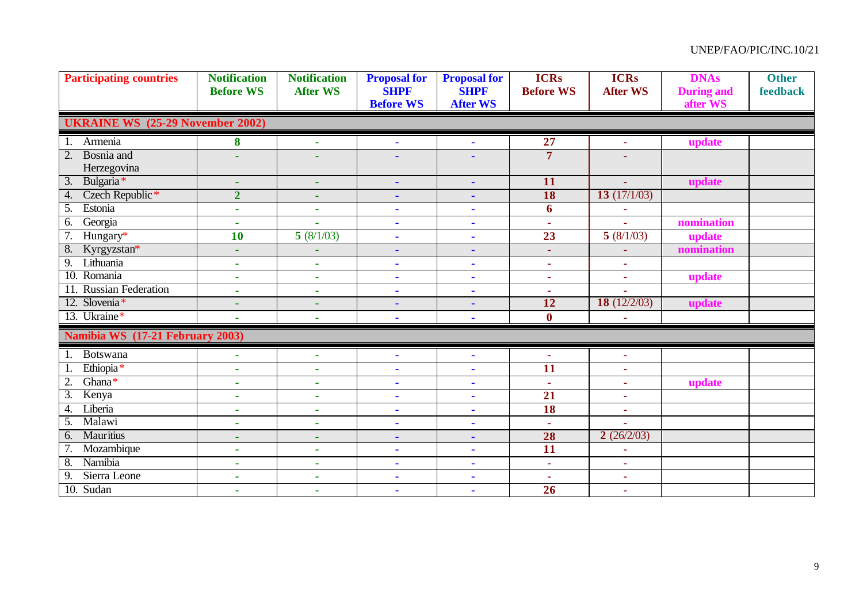| <b>Participating countries</b>          | <b>Notification</b><br><b>Before WS</b> | <b>Notification</b><br><b>After WS</b> | <b>Proposal for</b><br><b>SHPF</b><br><b>Before WS</b> | <b>Proposal for</b><br><b>SHPF</b><br><b>After WS</b> | <b>ICRs</b><br><b>Before WS</b> | <b>ICRs</b><br><b>After WS</b> | <b>DNAs</b><br><b>During and</b><br>after WS | <b>Other</b><br>feedback |
|-----------------------------------------|-----------------------------------------|----------------------------------------|--------------------------------------------------------|-------------------------------------------------------|---------------------------------|--------------------------------|----------------------------------------------|--------------------------|
| <b>UKRAINE WS</b> (25-29 November 2002) |                                         |                                        |                                                        |                                                       |                                 |                                |                                              |                          |
| Armenia<br>1.                           | 8                                       | ÷,                                     | $\blacksquare$                                         | $\blacksquare$                                        | $\overline{27}$                 | $\mathbf{r}$                   | update                                       |                          |
| $\overline{2}$ .<br><b>Bosnia</b> and   |                                         |                                        | ä,                                                     |                                                       | $\overline{7}$                  |                                |                                              |                          |
| Herzegovina                             |                                         |                                        |                                                        |                                                       |                                 |                                |                                              |                          |
| $\overline{3}$ .<br>Bulgaria*           | ٠                                       | ٠                                      | ä,                                                     | $\blacksquare$                                        | 11                              |                                | update                                       |                          |
| Czech Republic <sup>*</sup><br>4.       | $\overline{2}$                          | ٠                                      | ٠                                                      | $\blacksquare$                                        | <b>18</b>                       | 13 $(17/1/03)$                 |                                              |                          |
| $\overline{5}$ .<br>Estonia             | $\mathbf{r}$                            | ٠                                      | ×,                                                     | $\blacksquare$                                        | 6                               |                                |                                              |                          |
| Georgia<br>6.                           | $\mathbf{r}$                            | $\blacksquare$                         | $\blacksquare$                                         | ÷.                                                    | $\omega$                        | ×.                             | nomination                                   |                          |
| 7.<br>Hungary*                          | $\overline{10}$                         | 5(8/1/03)                              | $\blacksquare$                                         | $\blacksquare$                                        | 23                              | 5(8/1/03)                      | update                                       |                          |
| 8.<br>Kyrgyzstan*                       |                                         |                                        | ٠                                                      | ٠                                                     | $\sim$                          |                                | nomination                                   |                          |
| $\overline{9}$ .<br>Lithuania           | $\sim$                                  | ٠                                      | $\blacksquare$                                         | $\blacksquare$                                        | ٠                               | ٠                              |                                              |                          |
| 10. Romania                             | $\sim$                                  | ٠                                      | $\blacksquare$                                         | ÷.                                                    | $\sim$                          | ×,                             | update                                       |                          |
| 11. Russian Federation                  | $\sim$                                  | ٠                                      | ٠                                                      | $\blacksquare$                                        | $\sim$                          | $\mathbf{r}$                   |                                              |                          |
| 12. Slovenia*                           | ٠                                       | ٠                                      | ä,                                                     | ä,                                                    | 12                              | 18 $(12/2/03)$                 | update                                       |                          |
| 13. Ukraine*                            | $\sim$                                  | ٠                                      | $\blacksquare$                                         | $\blacksquare$                                        | $\boldsymbol{0}$                | ×,                             |                                              |                          |
| Namibia WS (17-21 February 2003)        |                                         |                                        |                                                        |                                                       |                                 |                                |                                              |                          |
| 1. Botswana                             | $\sim$                                  | ÷.                                     | ä,                                                     | $\mathbf{r}$                                          | ä,                              | $\mathbf{r}$                   |                                              |                          |
| Ethiopia*                               | $\tilde{\phantom{a}}$                   | $\mathbf{r}$                           | ä,                                                     | $\blacksquare$                                        | $\overline{11}$                 | ٠                              |                                              |                          |
| $\overline{2}$ .<br>Ghana*              | $\mathbf{r}$                            | $\sim$                                 | $\blacksquare$                                         | $\blacksquare$                                        | $\mathbf{r}$                    | ×.                             | update                                       |                          |
| $\overline{3}$ .<br>Kenya               | ٠                                       | ٠                                      | ä,                                                     | ä,                                                    | $\overline{21}$                 | $\tilde{\phantom{a}}$          |                                              |                          |
| Liberia<br>4.                           | $\sim$                                  | ٠                                      | $\blacksquare$                                         | $\blacksquare$                                        | $\overline{18}$                 | ÷.                             |                                              |                          |
| $\overline{5}$ .<br>Malawi              | $\mathbf{r}$                            | $\mathbf{r}$                           | $\blacksquare$                                         | ÷.                                                    | $\mathbf{r}$                    |                                |                                              |                          |
| <b>Mauritius</b><br>6.                  | ٠                                       | ٠                                      | ÷,                                                     | $\blacksquare$                                        | 28                              | 2(26/2/03)                     |                                              |                          |
| Mozambique                              | $\mathbf{r}$                            | $\mathbf{r}$                           | ×,                                                     | $\blacksquare$                                        | $\overline{11}$                 | $\mathbf{r}$                   |                                              |                          |
| Namibia<br>8.                           | $\sim$                                  | ٠                                      | $\blacksquare$                                         | $\blacksquare$                                        | ٠                               | ٠                              |                                              |                          |
| $\overline{9}$ .<br>Sierra Leone        | ٠                                       | ٠                                      | ×                                                      | $\blacksquare$                                        | ٠                               | ٠                              |                                              |                          |
| 10. Sudan                               | $\sim$                                  | ٠                                      | $\blacksquare$                                         | $\blacksquare$                                        | 26                              | ×.                             |                                              |                          |